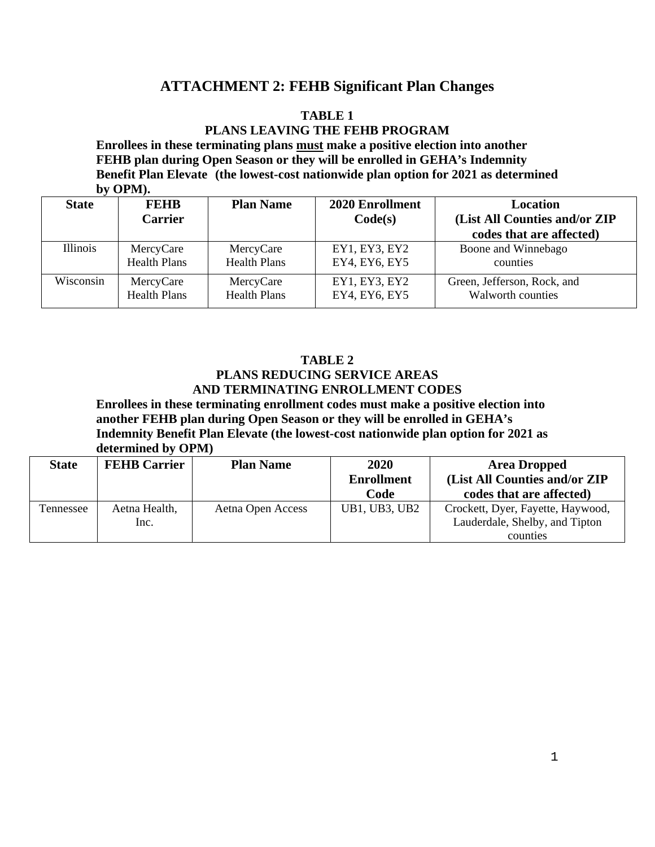# **ATTACHMENT 2: FEHB Significant Plan Changes**

# **TABLE 1**

# **PLANS LEAVING THE FEHB PROGRAM**

**Enrollees in these terminating plans must make a positive election into another FEHB plan during Open Season or they will be enrolled in GEHA's Indemnity Benefit Plan Elevate (the lowest-cost nationwide plan option for 2021 as determined by OPM).**

| <b>State</b>    | <b>FEHB</b><br><b>Carrier</b> | <b>Plan Name</b>    | 2020 Enrollment<br>Code(s) | Location<br>(List All Counties and/or ZIP) |
|-----------------|-------------------------------|---------------------|----------------------------|--------------------------------------------|
|                 |                               |                     |                            | codes that are affected)                   |
| <b>Illinois</b> | MercyCare                     | MercyCare           | EY1, EY3, EY2              | Boone and Winnebago                        |
|                 | <b>Health Plans</b>           | <b>Health Plans</b> | EY4, EY6, EY5              | counties                                   |
| Wisconsin       | MercyCare                     | MercyCare           | EY1, EY3, EY2              | Green, Jefferson, Rock, and                |
|                 | <b>Health Plans</b>           | <b>Health Plans</b> | EY4, EY6, EY5              | Walworth counties                          |

#### **TABLE 2 PLANS REDUCING SERVICE AREAS AND TERMINATING ENROLLMENT CODES**

**Enrollees in these terminating enrollment codes must make a positive election into another FEHB plan during Open Season or they will be enrolled in GEHA's Indemnity Benefit Plan Elevate (the lowest-cost nationwide plan option for 2021 as determined by OPM)**

| <b>State</b> | <b>FEHB Carrier</b>   | <b>Plan Name</b>  | 2020<br><b>Enrollment</b><br>Code | <b>Area Dropped</b><br>(List All Counties and/or ZIP<br>codes that are affected) |
|--------------|-----------------------|-------------------|-----------------------------------|----------------------------------------------------------------------------------|
| Tennessee    | Aetna Health,<br>Inc. | Aetna Open Access | UB1, UB3, UB2                     | Crockett, Dyer, Fayette, Haywood,<br>Lauderdale, Shelby, and Tipton<br>counties  |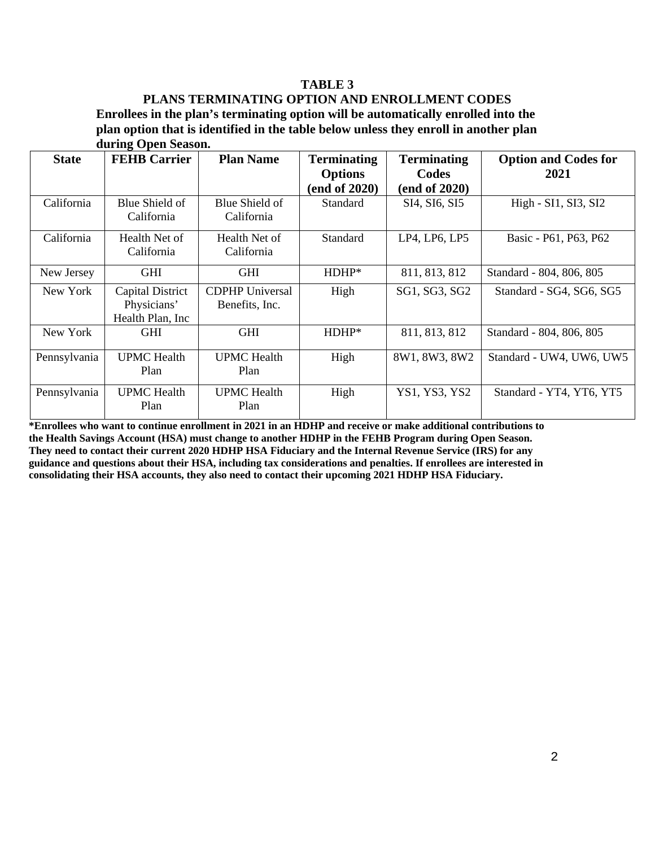# **TABLE 3**

# **PLANS TERMINATING OPTION AND ENROLLMENT CODES Enrollees in the plan's terminating option will be automatically enrolled into the plan option that is identified in the table below unless they enroll in another plan**

|              | during Open Season.                                 |                                          |                                                       |                                              |                                     |  |  |
|--------------|-----------------------------------------------------|------------------------------------------|-------------------------------------------------------|----------------------------------------------|-------------------------------------|--|--|
| <b>State</b> | <b>FEHB</b> Carrier                                 | <b>Plan Name</b>                         | <b>Terminating</b><br><b>Options</b><br>(end of 2020) | <b>Terminating</b><br>Codes<br>(end of 2020) | <b>Option and Codes for</b><br>2021 |  |  |
| California   | Blue Shield of<br>California                        | Blue Shield of<br>California             | Standard                                              | SI4, SI6, SI5                                | High - SI1, SI3, SI2                |  |  |
| California   | Health Net of<br>California                         | Health Net of<br>California              | Standard                                              | LP4, LP6, LP5                                | Basic - P61, P63, P62               |  |  |
| New Jersey   | <b>GHI</b>                                          | <b>GHI</b>                               | $HDHP*$                                               | 811, 813, 812                                | Standard - 804, 806, 805            |  |  |
| New York     | Capital District<br>Physicians'<br>Health Plan, Inc | <b>CDPHP</b> Universal<br>Benefits, Inc. | High                                                  | SG1, SG3, SG2                                | Standard - SG4, SG6, SG5            |  |  |
| New York     | <b>GHI</b>                                          | <b>GHI</b>                               | $HDHP*$                                               | 811, 813, 812                                | Standard - 804, 806, 805            |  |  |
| Pennsylvania | <b>UPMC</b> Health<br>Plan                          | <b>UPMC</b> Health<br>Plan               | High                                                  | 8W1, 8W3, 8W2                                | Standard - UW4, UW6, UW5            |  |  |
| Pennsylvania | <b>UPMC</b> Health<br>Plan                          | <b>UPMC</b> Health<br>Plan               | High                                                  | YS1, YS3, YS2                                | Standard - YT4, YT6, YT5            |  |  |

**\*Enrollees who want to continue enrollment in 2021 in an HDHP and receive or make additional contributions to the Health Savings Account (HSA) must change to another HDHP in the FEHB Program during Open Season. They need to contact their current 2020 HDHP HSA Fiduciary and the Internal Revenue Service (IRS) for any guidance and questions about their HSA, including tax considerations and penalties. If enrollees are interested in consolidating their HSA accounts, they also need to contact their upcoming 2021 HDHP HSA Fiduciary.**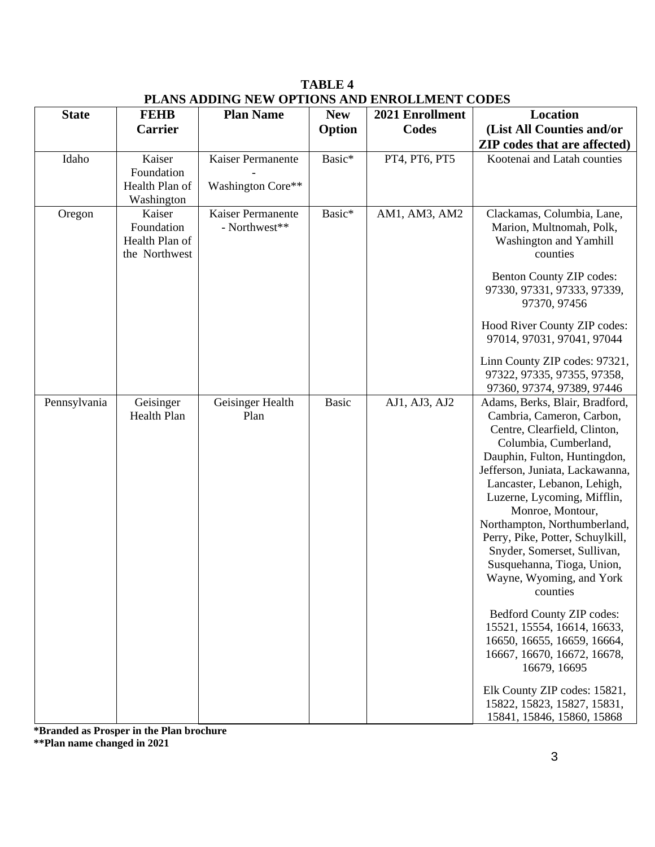|              |                                 | PLANS ADDING NEW OPTIONS AND ENROLLMENT CODES |              |                 |                                                        |  |  |  |
|--------------|---------------------------------|-----------------------------------------------|--------------|-----------------|--------------------------------------------------------|--|--|--|
| <b>State</b> | <b>FEHB</b>                     | <b>Plan Name</b>                              | <b>New</b>   | 2021 Enrollment | <b>Location</b>                                        |  |  |  |
|              | <b>Carrier</b>                  |                                               | Option       | Codes           | (List All Counties and/or                              |  |  |  |
|              |                                 |                                               |              |                 | <b>ZIP</b> codes that are affected)                    |  |  |  |
| Idaho        | Kaiser                          | Kaiser Permanente                             | Basic*       | PT4, PT6, PT5   | Kootenai and Latah counties                            |  |  |  |
|              | Foundation                      |                                               |              |                 |                                                        |  |  |  |
|              | Health Plan of                  | Washington Core**                             |              |                 |                                                        |  |  |  |
|              | Washington                      |                                               |              |                 |                                                        |  |  |  |
| Oregon       | Kaiser<br>Foundation            | Kaiser Permanente<br>- Northwest**            | Basic*       | AM1, AM3, AM2   | Clackamas, Columbia, Lane,<br>Marion, Multnomah, Polk, |  |  |  |
|              | Health Plan of<br>the Northwest |                                               |              |                 | Washington and Yamhill<br>counties                     |  |  |  |
|              |                                 |                                               |              |                 | Benton County ZIP codes:                               |  |  |  |
|              |                                 |                                               |              |                 | 97330, 97331, 97333, 97339,<br>97370, 97456            |  |  |  |
|              |                                 |                                               |              |                 | Hood River County ZIP codes:                           |  |  |  |
|              |                                 |                                               |              |                 | 97014, 97031, 97041, 97044                             |  |  |  |
|              |                                 |                                               |              |                 | Linn County ZIP codes: 97321,                          |  |  |  |
|              |                                 |                                               |              |                 | 97322, 97335, 97355, 97358,                            |  |  |  |
|              |                                 |                                               |              |                 | 97360, 97374, 97389, 97446                             |  |  |  |
| Pennsylvania | Geisinger                       | Geisinger Health                              | <b>Basic</b> | AJ1, AJ3, AJ2   | Adams, Berks, Blair, Bradford,                         |  |  |  |
|              | Health Plan                     | Plan                                          |              |                 | Cambria, Cameron, Carbon,                              |  |  |  |
|              |                                 |                                               |              |                 | Centre, Clearfield, Clinton,                           |  |  |  |
|              |                                 |                                               |              |                 | Columbia, Cumberland,                                  |  |  |  |
|              |                                 |                                               |              |                 | Dauphin, Fulton, Huntingdon,                           |  |  |  |
|              |                                 |                                               |              |                 | Jefferson, Juniata, Lackawanna,                        |  |  |  |
|              |                                 |                                               |              |                 | Lancaster, Lebanon, Lehigh,                            |  |  |  |
|              |                                 |                                               |              |                 | Luzerne, Lycoming, Mifflin,<br>Monroe, Montour,        |  |  |  |
|              |                                 |                                               |              |                 | Northampton, Northumberland,                           |  |  |  |
|              |                                 |                                               |              |                 | Perry, Pike, Potter, Schuylkill,                       |  |  |  |
|              |                                 |                                               |              |                 | Snyder, Somerset, Sullivan,                            |  |  |  |
|              |                                 |                                               |              |                 | Susquehanna, Tioga, Union,                             |  |  |  |
|              |                                 |                                               |              |                 | Wayne, Wyoming, and York                               |  |  |  |
|              |                                 |                                               |              |                 | counties                                               |  |  |  |
|              |                                 |                                               |              |                 | Bedford County ZIP codes:                              |  |  |  |
|              |                                 |                                               |              |                 | 15521, 15554, 16614, 16633,                            |  |  |  |
|              |                                 |                                               |              |                 | 16650, 16655, 16659, 16664,                            |  |  |  |
|              |                                 |                                               |              |                 | 16667, 16670, 16672, 16678,                            |  |  |  |
|              |                                 |                                               |              |                 | 16679, 16695                                           |  |  |  |
|              |                                 |                                               |              |                 | Elk County ZIP codes: 15821,                           |  |  |  |
|              |                                 |                                               |              |                 | 15822, 15823, 15827, 15831,                            |  |  |  |
|              |                                 |                                               |              |                 | 15841, 15846, 15860, 15868                             |  |  |  |

**TABLE 4 PLANS ADDING NEW OPTIONS AND ENROLLMENT CODES**

**\*Branded as Prosper in the Plan brochure**

**\*\*Plan name changed in 2021**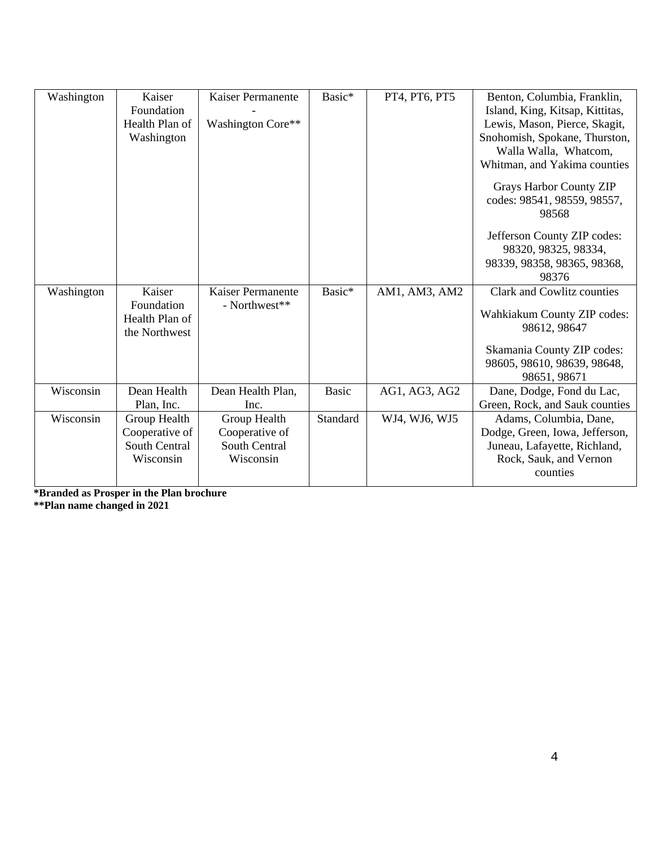| Washington | Kaiser<br>Foundation<br>Health Plan of<br>Washington         | Kaiser Permanente<br>Washington Core**                       | Basic*       | PT4, PT6, PT5 | Benton, Columbia, Franklin,<br>Island, King, Kitsap, Kittitas,<br>Lewis, Mason, Pierce, Skagit,<br>Snohomish, Spokane, Thurston,<br>Walla Walla, Whatcom,<br>Whitman, and Yakima counties<br><b>Grays Harbor County ZIP</b><br>codes: 98541, 98559, 98557,<br>98568<br>Jefferson County ZIP codes:<br>98320, 98325, 98334,<br>98339, 98358, 98365, 98368,<br>98376 |
|------------|--------------------------------------------------------------|--------------------------------------------------------------|--------------|---------------|--------------------------------------------------------------------------------------------------------------------------------------------------------------------------------------------------------------------------------------------------------------------------------------------------------------------------------------------------------------------|
| Washington | Kaiser<br>Foundation<br>Health Plan of<br>the Northwest      | Kaiser Permanente<br>- Northwest**                           | Basic*       | AM1, AM3, AM2 | Clark and Cowlitz counties<br>Wahkiakum County ZIP codes:<br>98612, 98647<br>Skamania County ZIP codes:<br>98605, 98610, 98639, 98648,<br>98651, 98671                                                                                                                                                                                                             |
| Wisconsin  | Dean Health<br>Plan, Inc.                                    | Dean Health Plan,<br>Inc.                                    | <b>Basic</b> | AG1, AG3, AG2 | Dane, Dodge, Fond du Lac,<br>Green, Rock, and Sauk counties                                                                                                                                                                                                                                                                                                        |
| Wisconsin  | Group Health<br>Cooperative of<br>South Central<br>Wisconsin | Group Health<br>Cooperative of<br>South Central<br>Wisconsin | Standard     | WJ4, WJ6, WJ5 | Adams, Columbia, Dane,<br>Dodge, Green, Iowa, Jefferson,<br>Juneau, Lafayette, Richland,<br>Rock, Sauk, and Vernon<br>counties                                                                                                                                                                                                                                     |

**\*Branded as Prosper in the Plan brochure \*\*Plan name changed in 2021**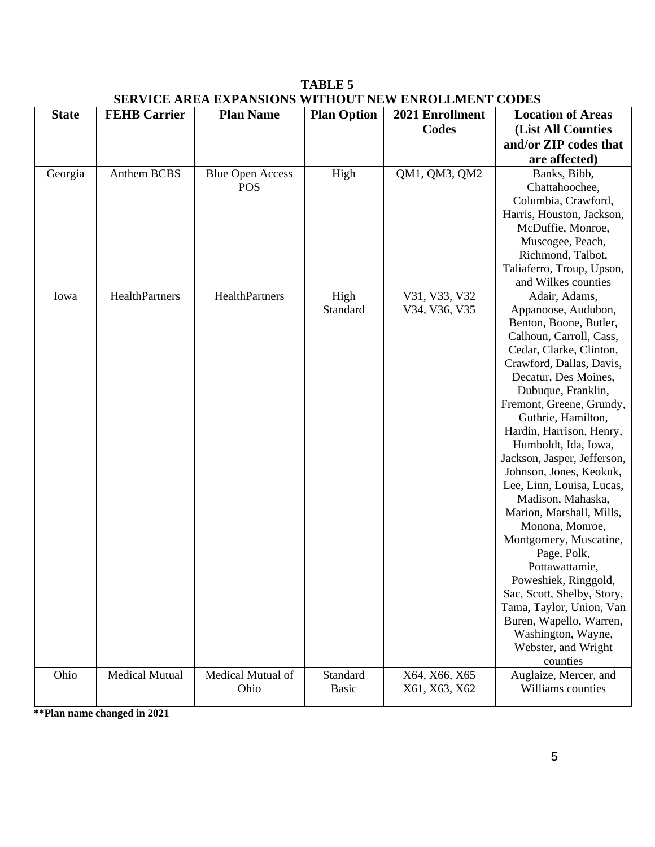|              |                       | <u>SERVICE AREA EXPANSIONS WITHOUT NEW ENROLLMENT CODES</u> |                    |                 |                                            |
|--------------|-----------------------|-------------------------------------------------------------|--------------------|-----------------|--------------------------------------------|
| <b>State</b> | <b>FEHB Carrier</b>   | <b>Plan Name</b>                                            | <b>Plan Option</b> | 2021 Enrollment | <b>Location of Areas</b>                   |
|              |                       |                                                             |                    | Codes           | (List All Counties                         |
|              |                       |                                                             |                    |                 | and/or ZIP codes that                      |
|              |                       |                                                             |                    |                 | are affected)                              |
| Georgia      | Anthem BCBS           | <b>Blue Open Access</b>                                     | High               | QM1, QM3, QM2   | Banks, Bibb,                               |
|              |                       | <b>POS</b>                                                  |                    |                 | Chattahoochee,                             |
|              |                       |                                                             |                    |                 | Columbia, Crawford,                        |
|              |                       |                                                             |                    |                 | Harris, Houston, Jackson,                  |
|              |                       |                                                             |                    |                 | McDuffie, Monroe,                          |
|              |                       |                                                             |                    |                 | Muscogee, Peach,                           |
|              |                       |                                                             |                    |                 | Richmond, Talbot,                          |
|              |                       |                                                             |                    |                 | Taliaferro, Troup, Upson,                  |
|              |                       |                                                             |                    |                 | and Wilkes counties                        |
| Iowa         | HealthPartners        | HealthPartners                                              | High               | V31, V33, V32   | Adair, Adams,                              |
|              |                       |                                                             | Standard           | V34, V36, V35   | Appanoose, Audubon,                        |
|              |                       |                                                             |                    |                 | Benton, Boone, Butler,                     |
|              |                       |                                                             |                    |                 | Calhoun, Carroll, Cass,                    |
|              |                       |                                                             |                    |                 | Cedar, Clarke, Clinton,                    |
|              |                       |                                                             |                    |                 | Crawford, Dallas, Davis,                   |
|              |                       |                                                             |                    |                 | Decatur, Des Moines,                       |
|              |                       |                                                             |                    |                 | Dubuque, Franklin,                         |
|              |                       |                                                             |                    |                 | Fremont, Greene, Grundy,                   |
|              |                       |                                                             |                    |                 | Guthrie, Hamilton,                         |
|              |                       |                                                             |                    |                 | Hardin, Harrison, Henry,                   |
|              |                       |                                                             |                    |                 | Humboldt, Ida, Iowa,                       |
|              |                       |                                                             |                    |                 | Jackson, Jasper, Jefferson,                |
|              |                       |                                                             |                    |                 | Johnson, Jones, Keokuk,                    |
|              |                       |                                                             |                    |                 | Lee, Linn, Louisa, Lucas,                  |
|              |                       |                                                             |                    |                 | Madison, Mahaska,                          |
|              |                       |                                                             |                    |                 | Marion, Marshall, Mills,                   |
|              |                       |                                                             |                    |                 | Monona, Monroe,                            |
|              |                       |                                                             |                    |                 | Montgomery, Muscatine,                     |
|              |                       |                                                             |                    |                 | Page, Polk,                                |
|              |                       |                                                             |                    |                 | Pottawattamie,                             |
|              |                       |                                                             |                    |                 | Poweshiek, Ringgold,                       |
|              |                       |                                                             |                    |                 | Sac, Scott, Shelby, Story,                 |
|              |                       |                                                             |                    |                 | Tama, Taylor, Union, Van                   |
|              |                       |                                                             |                    |                 | Buren, Wapello, Warren,                    |
|              |                       |                                                             |                    |                 | Washington, Wayne,                         |
|              |                       |                                                             |                    |                 | Webster, and Wright<br>counties            |
| Ohio         | <b>Medical Mutual</b> | Medical Mutual of                                           | Standard           | X64, X66, X65   |                                            |
|              |                       | Ohio                                                        | <b>Basic</b>       | X61, X63, X62   | Auglaize, Mercer, and<br>Williams counties |
|              |                       |                                                             |                    |                 |                                            |

**TABLE 5 SERVICE AREA EXPANSIONS WITHOUT NEW ENROLLMENT CODES**

**\*\*Plan name changed in 2021**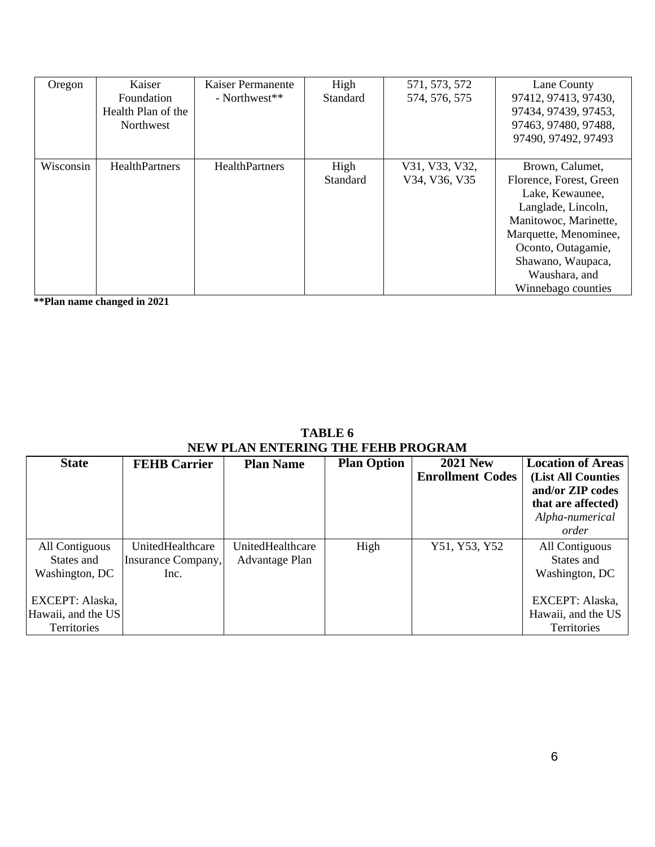| Oregon    | Kaiser<br>Foundation<br>Health Plan of the<br>Northwest | Kaiser Permanente<br>- Northwest** | High<br><b>Standard</b> | 571, 573, 572<br>574, 576, 575  | Lane County<br>97412, 97413, 97430,<br>97434, 97439, 97453,<br>97463, 97480, 97488,<br>97490, 97492, 97493                                                                                                              |
|-----------|---------------------------------------------------------|------------------------------------|-------------------------|---------------------------------|-------------------------------------------------------------------------------------------------------------------------------------------------------------------------------------------------------------------------|
| Wisconsin | <b>HealthPartners</b>                                   | HealthPartners                     | High<br><b>Standard</b> | V31, V33, V32,<br>V34, V36, V35 | Brown, Calumet,<br>Florence, Forest, Green<br>Lake, Kewaunee,<br>Langlade, Lincoln,<br>Manitowoc, Marinette,<br>Marquette, Menominee,<br>Oconto, Outagamie,<br>Shawano, Waupaca,<br>Waushara, and<br>Winnebago counties |

**\*\*Plan name changed in 2021**

| <b>TABLE 6</b>                            |  |  |  |  |
|-------------------------------------------|--|--|--|--|
| <b>NEW PLAN ENTERING THE FEHB PROGRAM</b> |  |  |  |  |

| <b>State</b>                                         | <b>FEHB Carrier</b>                            | <b>Plan Name</b>                   | <b>Plan Option</b> | <b>2021 New</b><br><b>Enrollment Codes</b> | <b>Location of Areas</b><br>(List All Counties<br>and/or ZIP codes<br>that are affected)<br>Alpha-numerical<br>order |
|------------------------------------------------------|------------------------------------------------|------------------------------------|--------------------|--------------------------------------------|----------------------------------------------------------------------------------------------------------------------|
| All Contiguous<br>States and<br>Washington, DC       | UnitedHealthcare<br>Insurance Company,<br>Inc. | UnitedHealthcare<br>Advantage Plan | High               | Y51, Y53, Y52                              | All Contiguous<br>States and<br>Washington, DC                                                                       |
| EXCEPT: Alaska,<br>Hawaii, and the US<br>Territories |                                                |                                    |                    |                                            | EXCEPT: Alaska,<br>Hawaii, and the US<br>Territories                                                                 |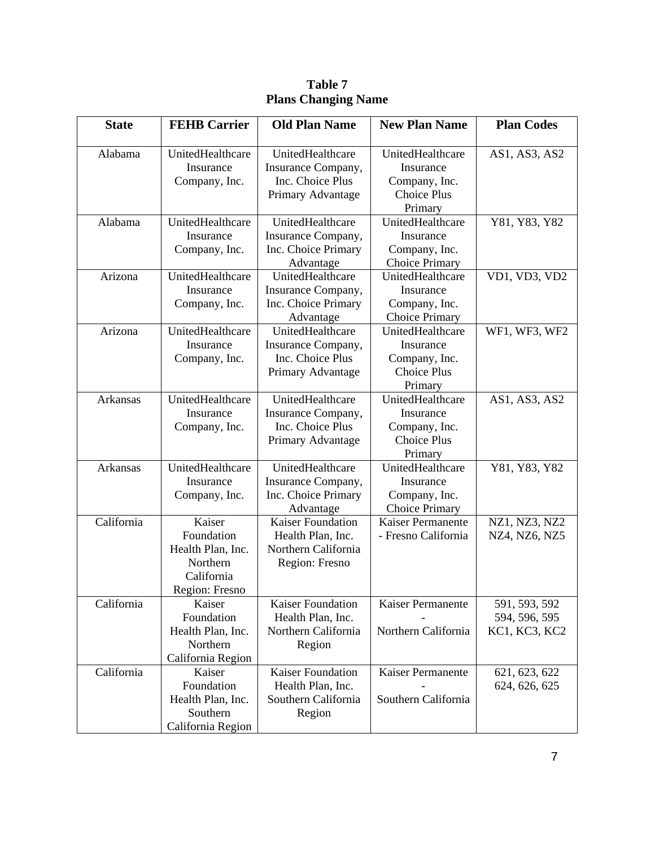| <b>State</b>    | <b>FEHB Carrier</b>                                                                   | <b>Old Plan Name</b>                                                                   | <b>New Plan Name</b>                                                            | <b>Plan Codes</b>                               |
|-----------------|---------------------------------------------------------------------------------------|----------------------------------------------------------------------------------------|---------------------------------------------------------------------------------|-------------------------------------------------|
| Alabama         | UnitedHealthcare<br>Insurance<br>Company, Inc.                                        | UnitedHealthcare<br>Insurance Company,<br>Inc. Choice Plus<br>Primary Advantage        | UnitedHealthcare<br>Insurance<br>Company, Inc.<br><b>Choice Plus</b><br>Primary | AS1, AS3, AS2                                   |
| Alabama         | UnitedHealthcare<br>Insurance<br>Company, Inc.                                        | UnitedHealthcare<br>Insurance Company,<br>Inc. Choice Primary<br>Advantage             | UnitedHealthcare<br>Insurance<br>Company, Inc.<br><b>Choice Primary</b>         | Y81, Y83, Y82                                   |
| Arizona         | UnitedHealthcare<br>Insurance<br>Company, Inc.                                        | UnitedHealthcare<br>Insurance Company,<br>Inc. Choice Primary<br>Advantage             | UnitedHealthcare<br>Insurance<br>Company, Inc.<br><b>Choice Primary</b>         | VD1, VD3, VD2                                   |
| Arizona         | UnitedHealthcare<br>Insurance<br>Company, Inc.                                        | UnitedHealthcare<br>Insurance Company,<br>Inc. Choice Plus<br>Primary Advantage        | UnitedHealthcare<br>Insurance<br>Company, Inc.<br><b>Choice Plus</b><br>Primary | WF1, WF3, WF2                                   |
| <b>Arkansas</b> | UnitedHealthcare<br>Insurance<br>Company, Inc.                                        | UnitedHealthcare<br>Insurance Company,<br>Inc. Choice Plus<br>Primary Advantage        | UnitedHealthcare<br>Insurance<br>Company, Inc.<br><b>Choice Plus</b><br>Primary | AS1, AS3, AS2                                   |
| <b>Arkansas</b> | UnitedHealthcare<br>Insurance<br>Company, Inc.                                        | UnitedHealthcare<br>Insurance Company,<br>Inc. Choice Primary<br>Advantage             | UnitedHealthcare<br>Insurance<br>Company, Inc.<br><b>Choice Primary</b>         | Y81, Y83, Y82                                   |
| California      | Kaiser<br>Foundation<br>Health Plan, Inc.<br>Northern<br>California<br>Region: Fresno | <b>Kaiser Foundation</b><br>Health Plan, Inc.<br>Northern California<br>Region: Fresno | Kaiser Permanente<br>- Fresno California                                        | NZ1, NZ3, NZ2<br>NZ4, NZ6, NZ5                  |
| California      | Kaiser<br>Foundation<br>Health Plan, Inc.<br>Northern<br>California Region            | Kaiser Foundation<br>Health Plan, Inc.<br>Northern California<br>Region                | Kaiser Permanente<br>Northern California                                        | 591, 593, 592<br>594, 596, 595<br>KC1, KC3, KC2 |
| California      | Kaiser<br>Foundation<br>Health Plan, Inc.<br>Southern<br>California Region            | <b>Kaiser Foundation</b><br>Health Plan, Inc.<br>Southern California<br>Region         | Kaiser Permanente<br>Southern California                                        | 621, 623, 622<br>624, 626, 625                  |

**Table 7 Plans Changing Name**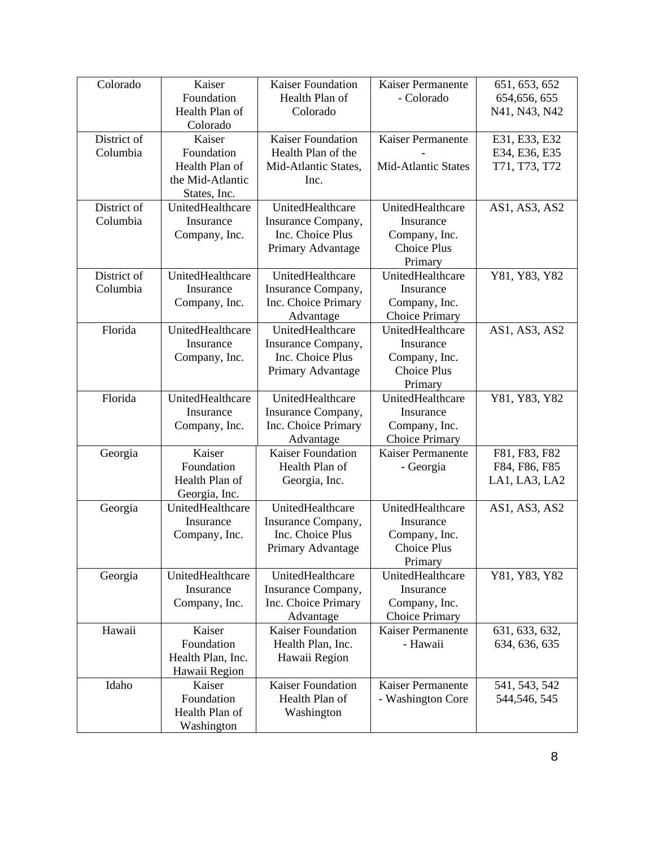| Colorado    | Kaiser            | <b>Kaiser Foundation</b>              | Kaiser Permanente                          | 651, 653, 652  |
|-------------|-------------------|---------------------------------------|--------------------------------------------|----------------|
|             | Foundation        | Health Plan of                        | - Colorado                                 | 654, 656, 655  |
|             | Health Plan of    | Colorado                              |                                            | N41, N43, N42  |
|             | Colorado          |                                       |                                            |                |
| District of | Kaiser            | <b>Kaiser Foundation</b>              | Kaiser Permanente                          | E31, E33, E32  |
| Columbia    | Foundation        | Health Plan of the                    |                                            | E34, E36, E35  |
|             | Health Plan of    | Mid-Atlantic States,                  | <b>Mid-Atlantic States</b>                 | T71, T73, T72  |
|             | the Mid-Atlantic  | Inc.                                  |                                            |                |
|             | States, Inc.      |                                       |                                            |                |
| District of | UnitedHealthcare  | UnitedHealthcare                      | UnitedHealthcare                           | AS1, AS3, AS2  |
| Columbia    | Insurance         | Insurance Company,                    | Insurance                                  |                |
|             | Company, Inc.     | Inc. Choice Plus                      | Company, Inc.                              |                |
|             |                   | Primary Advantage                     | <b>Choice Plus</b>                         |                |
|             |                   |                                       | Primary                                    |                |
| District of | UnitedHealthcare  | UnitedHealthcare                      | UnitedHealthcare                           | Y81, Y83, Y82  |
| Columbia    | Insurance         | Insurance Company,                    | Insurance                                  |                |
|             | Company, Inc.     | Inc. Choice Primary                   | Company, Inc.                              |                |
|             |                   | Advantage                             | <b>Choice Primary</b>                      |                |
| Florida     | UnitedHealthcare  | UnitedHealthcare                      | UnitedHealthcare                           | AS1, AS3, AS2  |
|             | Insurance         | Insurance Company,                    | Insurance                                  |                |
|             | Company, Inc.     | Inc. Choice Plus                      | Company, Inc.                              |                |
|             |                   | Primary Advantage                     | <b>Choice Plus</b>                         |                |
|             |                   |                                       | Primary                                    |                |
| Florida     | UnitedHealthcare  | UnitedHealthcare                      | UnitedHealthcare                           | Y81, Y83, Y82  |
|             | Insurance         | Insurance Company,                    | Insurance                                  |                |
|             | Company, Inc.     | Inc. Choice Primary                   | Company, Inc.                              |                |
|             | Kaiser            | Advantage<br><b>Kaiser Foundation</b> | <b>Choice Primary</b><br>Kaiser Permanente |                |
| Georgia     | Foundation        | Health Plan of                        |                                            | F81, F83, F82  |
|             | Health Plan of    |                                       | - Georgia                                  | F84, F86, F85  |
|             | Georgia, Inc.     | Georgia, Inc.                         |                                            | LA1, LA3, LA2  |
|             | UnitedHealthcare  | UnitedHealthcare                      | UnitedHealthcare                           | AS1, AS3, AS2  |
| Georgia     | Insurance         | Insurance Company,                    | Insurance                                  |                |
|             | Company, Inc.     | Inc. Choice Plus                      | Company, Inc.                              |                |
|             |                   | Primary Advantage                     | <b>Choice Plus</b>                         |                |
|             |                   |                                       | Primary                                    |                |
| Georgia     | UnitedHealthcare  | UnitedHealthcare                      | UnitedHealthcare                           | Y81, Y83, Y82  |
|             | Insurance         | Insurance Company,                    | Insurance                                  |                |
|             | Company, Inc.     | Inc. Choice Primary                   | Company, Inc.                              |                |
|             |                   | Advantage                             | <b>Choice Primary</b>                      |                |
| Hawaii      | Kaiser            | <b>Kaiser Foundation</b>              | Kaiser Permanente                          | 631, 633, 632, |
|             | Foundation        | Health Plan, Inc.                     | - Hawaii                                   | 634, 636, 635  |
|             | Health Plan, Inc. | Hawaii Region                         |                                            |                |
|             | Hawaii Region     |                                       |                                            |                |
| Idaho       | Kaiser            | <b>Kaiser Foundation</b>              | Kaiser Permanente                          | 541, 543, 542  |
|             | Foundation        | Health Plan of                        | - Washington Core                          | 544,546, 545   |
|             | Health Plan of    | Washington                            |                                            |                |
|             | Washington        |                                       |                                            |                |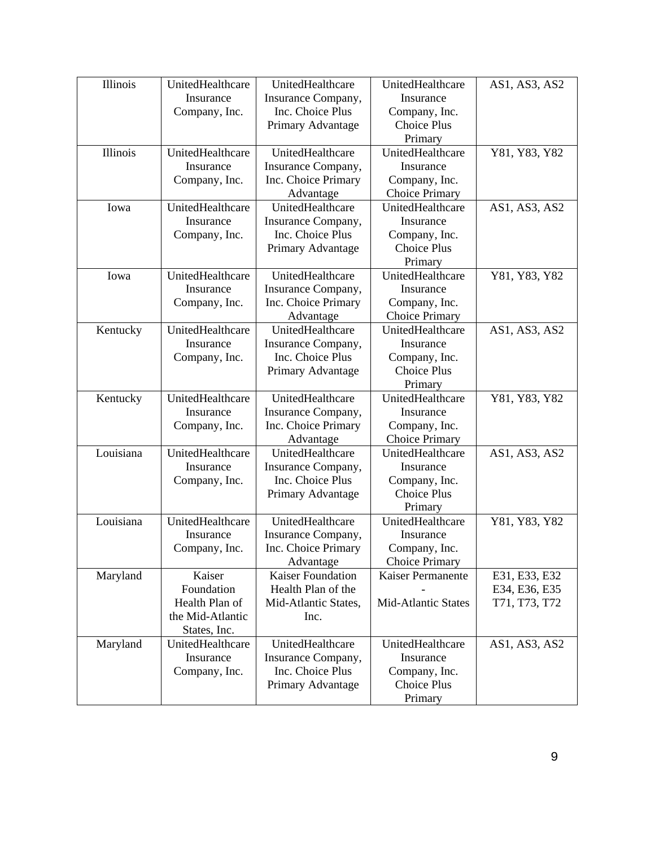| Illinois        | UnitedHealthcare | UnitedHealthcare         | UnitedHealthcare           | AS1, AS3, AS2 |
|-----------------|------------------|--------------------------|----------------------------|---------------|
|                 | Insurance        | Insurance Company,       | Insurance                  |               |
|                 | Company, Inc.    | Inc. Choice Plus         | Company, Inc.              |               |
|                 |                  | Primary Advantage        | <b>Choice Plus</b>         |               |
|                 |                  |                          | Primary                    |               |
| <b>Illinois</b> | UnitedHealthcare | UnitedHealthcare         | UnitedHealthcare           | Y81, Y83, Y82 |
|                 | Insurance        | Insurance Company,       | Insurance                  |               |
|                 | Company, Inc.    | Inc. Choice Primary      | Company, Inc.              |               |
|                 |                  | Advantage                | <b>Choice Primary</b>      |               |
| Iowa            | UnitedHealthcare | UnitedHealthcare         | UnitedHealthcare           | AS1, AS3, AS2 |
|                 | Insurance        | Insurance Company,       | Insurance                  |               |
|                 | Company, Inc.    | Inc. Choice Plus         | Company, Inc.              |               |
|                 |                  | Primary Advantage        | <b>Choice Plus</b>         |               |
|                 |                  |                          | Primary                    |               |
| Iowa            | UnitedHealthcare | UnitedHealthcare         | UnitedHealthcare           | Y81, Y83, Y82 |
|                 | Insurance        | Insurance Company,       | Insurance                  |               |
|                 | Company, Inc.    | Inc. Choice Primary      | Company, Inc.              |               |
|                 |                  | Advantage                | <b>Choice Primary</b>      |               |
| Kentucky        | UnitedHealthcare | UnitedHealthcare         | UnitedHealthcare           | AS1, AS3, AS2 |
|                 | Insurance        | Insurance Company,       | Insurance                  |               |
|                 | Company, Inc.    | Inc. Choice Plus         | Company, Inc.              |               |
|                 |                  | Primary Advantage        | <b>Choice Plus</b>         |               |
|                 |                  |                          | Primary                    |               |
| Kentucky        | UnitedHealthcare | UnitedHealthcare         | UnitedHealthcare           | Y81, Y83, Y82 |
|                 | Insurance        | Insurance Company,       | Insurance                  |               |
|                 | Company, Inc.    | Inc. Choice Primary      | Company, Inc.              |               |
|                 |                  | Advantage                | <b>Choice Primary</b>      |               |
| Louisiana       | UnitedHealthcare | UnitedHealthcare         | UnitedHealthcare           | AS1, AS3, AS2 |
|                 | Insurance        | Insurance Company,       | Insurance                  |               |
|                 | Company, Inc.    | Inc. Choice Plus         | Company, Inc.              |               |
|                 |                  | Primary Advantage        | <b>Choice Plus</b>         |               |
|                 |                  |                          | Primary                    |               |
| Louisiana       | UnitedHealthcare | UnitedHealthcare         | UnitedHealthcare           | Y81, Y83, Y82 |
|                 | Insurance        | Insurance Company,       | Insurance                  |               |
|                 | Company, Inc.    | Inc. Choice Primary      | Company, Inc.              |               |
|                 |                  | Advantage                | <b>Choice Primary</b>      |               |
| Maryland        | Kaiser           | <b>Kaiser Foundation</b> | Kaiser Permanente          | E31, E33, E32 |
|                 | Foundation       | Health Plan of the       |                            | E34, E36, E35 |
|                 | Health Plan of   | Mid-Atlantic States,     | <b>Mid-Atlantic States</b> | T71, T73, T72 |
|                 | the Mid-Atlantic | Inc.                     |                            |               |
|                 | States, Inc.     |                          |                            |               |
| Maryland        | UnitedHealthcare | UnitedHealthcare         | UnitedHealthcare           | AS1, AS3, AS2 |
|                 | Insurance        | Insurance Company,       | Insurance                  |               |
|                 | Company, Inc.    | Inc. Choice Plus         | Company, Inc.              |               |
|                 |                  | Primary Advantage        | <b>Choice Plus</b>         |               |
|                 |                  |                          | Primary                    |               |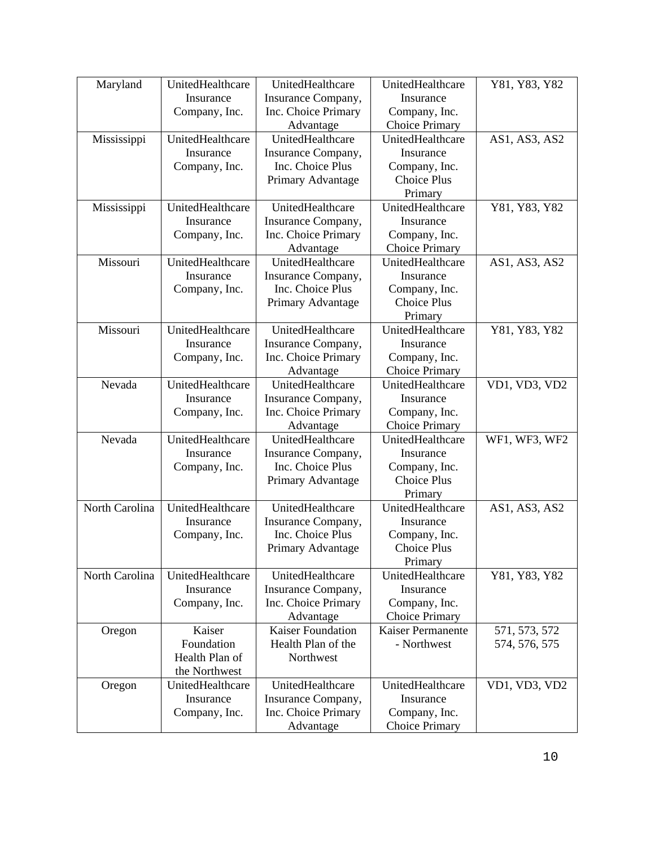| Maryland       | UnitedHealthcare | UnitedHealthcare         | UnitedHealthcare         | Y81, Y83, Y82 |
|----------------|------------------|--------------------------|--------------------------|---------------|
|                | Insurance        | Insurance Company,       | Insurance                |               |
|                | Company, Inc.    | Inc. Choice Primary      | Company, Inc.            |               |
|                |                  | Advantage                | <b>Choice Primary</b>    |               |
| Mississippi    | UnitedHealthcare | UnitedHealthcare         | UnitedHealthcare         | AS1, AS3, AS2 |
|                | Insurance        | Insurance Company,       | Insurance                |               |
|                | Company, Inc.    | Inc. Choice Plus         | Company, Inc.            |               |
|                |                  | Primary Advantage        | <b>Choice Plus</b>       |               |
|                |                  |                          | Primary                  |               |
| Mississippi    | UnitedHealthcare | UnitedHealthcare         | UnitedHealthcare         | Y81, Y83, Y82 |
|                | Insurance        | Insurance Company,       | Insurance                |               |
|                | Company, Inc.    | Inc. Choice Primary      | Company, Inc.            |               |
|                |                  | Advantage                | <b>Choice Primary</b>    |               |
| Missouri       | UnitedHealthcare | UnitedHealthcare         | UnitedHealthcare         | AS1, AS3, AS2 |
|                | Insurance        | Insurance Company,       | Insurance                |               |
|                | Company, Inc.    | Inc. Choice Plus         | Company, Inc.            |               |
|                |                  | Primary Advantage        | <b>Choice Plus</b>       |               |
|                |                  |                          | Primary                  |               |
| Missouri       | UnitedHealthcare | UnitedHealthcare         | UnitedHealthcare         | Y81, Y83, Y82 |
|                | Insurance        | Insurance Company,       | Insurance                |               |
|                | Company, Inc.    | Inc. Choice Primary      | Company, Inc.            |               |
|                |                  | Advantage                | <b>Choice Primary</b>    |               |
| Nevada         | UnitedHealthcare | UnitedHealthcare         | UnitedHealthcare         | VD1, VD3, VD2 |
|                | Insurance        | Insurance Company,       | Insurance                |               |
|                | Company, Inc.    | Inc. Choice Primary      | Company, Inc.            |               |
|                |                  | Advantage                | <b>Choice Primary</b>    |               |
| Nevada         | UnitedHealthcare | UnitedHealthcare         | UnitedHealthcare         | WF1, WF3, WF2 |
|                | Insurance        | Insurance Company,       | Insurance                |               |
|                | Company, Inc.    | Inc. Choice Plus         | Company, Inc.            |               |
|                |                  | Primary Advantage        | <b>Choice Plus</b>       |               |
|                |                  |                          | Primary                  |               |
| North Carolina | UnitedHealthcare | UnitedHealthcare         | UnitedHealthcare         | AS1, AS3, AS2 |
|                | Insurance        | Insurance Company,       | Insurance                |               |
|                | Company, Inc.    | Inc. Choice Plus         | Company, Inc.            |               |
|                |                  | Primary Advantage        | Choice Plus              |               |
|                |                  |                          | Primary                  |               |
| North Carolina | UnitedHealthcare | UnitedHealthcare         | UnitedHealthcare         | Y81, Y83, Y82 |
|                | Insurance        | Insurance Company,       | Insurance                |               |
|                | Company, Inc.    | Inc. Choice Primary      | Company, Inc.            |               |
|                |                  | Advantage                | <b>Choice Primary</b>    |               |
| Oregon         | Kaiser           | <b>Kaiser Foundation</b> | <b>Kaiser Permanente</b> | 571, 573, 572 |
|                | Foundation       | Health Plan of the       | - Northwest              | 574, 576, 575 |
|                | Health Plan of   | Northwest                |                          |               |
|                | the Northwest    |                          |                          |               |
| Oregon         | UnitedHealthcare | UnitedHealthcare         | UnitedHealthcare         | VD1, VD3, VD2 |
|                | Insurance        | Insurance Company,       | Insurance                |               |
|                | Company, Inc.    | Inc. Choice Primary      | Company, Inc.            |               |
|                |                  | Advantage                | <b>Choice Primary</b>    |               |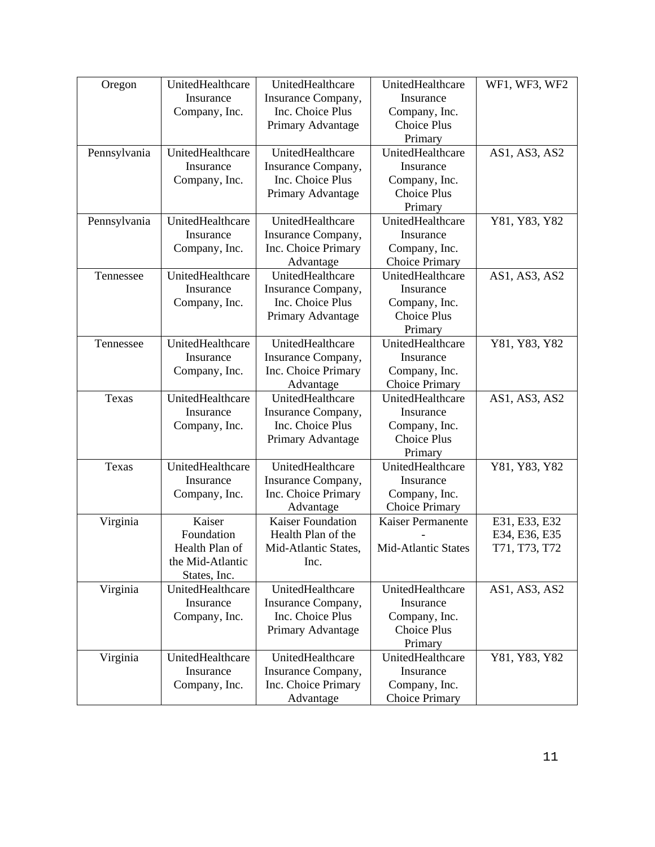| Oregon       | UnitedHealthcare | UnitedHealthcare         | UnitedHealthcare           | WF1, WF3, WF2 |
|--------------|------------------|--------------------------|----------------------------|---------------|
|              | Insurance        | Insurance Company,       | Insurance                  |               |
|              |                  | Inc. Choice Plus         |                            |               |
|              | Company, Inc.    |                          | Company, Inc.              |               |
|              |                  | Primary Advantage        | <b>Choice Plus</b>         |               |
|              |                  |                          | Primary                    |               |
| Pennsylvania | UnitedHealthcare | UnitedHealthcare         | UnitedHealthcare           | AS1, AS3, AS2 |
|              | Insurance        | Insurance Company,       | Insurance                  |               |
|              | Company, Inc.    | Inc. Choice Plus         | Company, Inc.              |               |
|              |                  | Primary Advantage        | <b>Choice Plus</b>         |               |
|              |                  |                          | Primary                    |               |
| Pennsylvania | UnitedHealthcare | UnitedHealthcare         | UnitedHealthcare           | Y81, Y83, Y82 |
|              | Insurance        | Insurance Company,       | Insurance                  |               |
|              | Company, Inc.    | Inc. Choice Primary      | Company, Inc.              |               |
|              |                  | Advantage                | <b>Choice Primary</b>      |               |
| Tennessee    | UnitedHealthcare | UnitedHealthcare         | UnitedHealthcare           | AS1, AS3, AS2 |
|              | Insurance        | Insurance Company,       | Insurance                  |               |
|              | Company, Inc.    | Inc. Choice Plus         | Company, Inc.              |               |
|              |                  |                          | <b>Choice Plus</b>         |               |
|              |                  | Primary Advantage        |                            |               |
|              |                  |                          | Primary                    |               |
| Tennessee    | UnitedHealthcare | UnitedHealthcare         | UnitedHealthcare           | Y81, Y83, Y82 |
|              | Insurance        | Insurance Company,       | Insurance                  |               |
|              | Company, Inc.    | Inc. Choice Primary      | Company, Inc.              |               |
|              |                  | Advantage                | <b>Choice Primary</b>      |               |
| Texas        | UnitedHealthcare | UnitedHealthcare         | UnitedHealthcare           | AS1, AS3, AS2 |
|              | Insurance        | Insurance Company,       | Insurance                  |               |
|              | Company, Inc.    | Inc. Choice Plus         | Company, Inc.              |               |
|              |                  | Primary Advantage        | <b>Choice Plus</b>         |               |
|              |                  |                          | Primary                    |               |
| Texas        | UnitedHealthcare | UnitedHealthcare         | UnitedHealthcare           | Y81, Y83, Y82 |
|              | Insurance        | Insurance Company,       | Insurance                  |               |
|              | Company, Inc.    | Inc. Choice Primary      | Company, Inc.              |               |
|              |                  | Advantage                | <b>Choice Primary</b>      |               |
| Virginia     | Kaiser           | <b>Kaiser Foundation</b> | Kaiser Permanente          | E31, E33, E32 |
|              | Foundation       | Health Plan of the       |                            | E34, E36, E35 |
|              | Health Plan of   | Mid-Atlantic States,     | <b>Mid-Atlantic States</b> | T71, T73, T72 |
|              |                  |                          |                            |               |
|              | the Mid-Atlantic | Inc.                     |                            |               |
|              | States, Inc.     |                          |                            |               |
| Virginia     | UnitedHealthcare | UnitedHealthcare         | UnitedHealthcare           | AS1, AS3, AS2 |
|              | Insurance        | Insurance Company,       | Insurance                  |               |
|              | Company, Inc.    | Inc. Choice Plus         | Company, Inc.              |               |
|              |                  | Primary Advantage        | <b>Choice Plus</b>         |               |
|              |                  |                          | Primary                    |               |
| Virginia     | UnitedHealthcare | UnitedHealthcare         | UnitedHealthcare           | Y81, Y83, Y82 |
|              | Insurance        | Insurance Company,       | Insurance                  |               |
|              | Company, Inc.    | Inc. Choice Primary      | Company, Inc.              |               |
|              |                  | Advantage                | <b>Choice Primary</b>      |               |